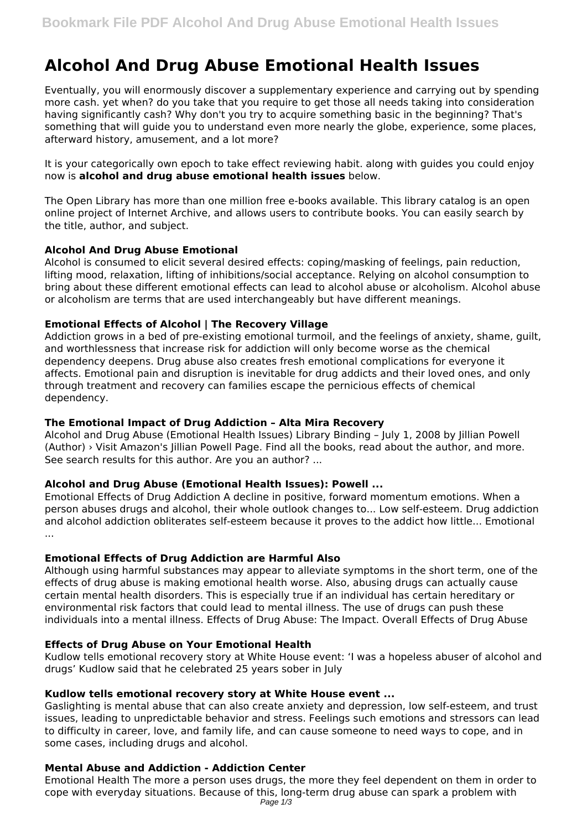# **Alcohol And Drug Abuse Emotional Health Issues**

Eventually, you will enormously discover a supplementary experience and carrying out by spending more cash. yet when? do you take that you require to get those all needs taking into consideration having significantly cash? Why don't you try to acquire something basic in the beginning? That's something that will guide you to understand even more nearly the globe, experience, some places, afterward history, amusement, and a lot more?

It is your categorically own epoch to take effect reviewing habit. along with guides you could enjoy now is **alcohol and drug abuse emotional health issues** below.

The Open Library has more than one million free e-books available. This library catalog is an open online project of Internet Archive, and allows users to contribute books. You can easily search by the title, author, and subject.

# **Alcohol And Drug Abuse Emotional**

Alcohol is consumed to elicit several desired effects: coping/masking of feelings, pain reduction, lifting mood, relaxation, lifting of inhibitions/social acceptance. Relying on alcohol consumption to bring about these different emotional effects can lead to alcohol abuse or alcoholism. Alcohol abuse or alcoholism are terms that are used interchangeably but have different meanings.

## **Emotional Effects of Alcohol | The Recovery Village**

Addiction grows in a bed of pre-existing emotional turmoil, and the feelings of anxiety, shame, guilt, and worthlessness that increase risk for addiction will only become worse as the chemical dependency deepens. Drug abuse also creates fresh emotional complications for everyone it affects. Emotional pain and disruption is inevitable for drug addicts and their loved ones, and only through treatment and recovery can families escape the pernicious effects of chemical dependency.

# **The Emotional Impact of Drug Addiction – Alta Mira Recovery**

Alcohol and Drug Abuse (Emotional Health Issues) Library Binding – July 1, 2008 by Jillian Powell (Author) › Visit Amazon's Jillian Powell Page. Find all the books, read about the author, and more. See search results for this author. Are you an author? ...

# **Alcohol and Drug Abuse (Emotional Health Issues): Powell ...**

Emotional Effects of Drug Addiction A decline in positive, forward momentum emotions. When a person abuses drugs and alcohol, their whole outlook changes to... Low self-esteem. Drug addiction and alcohol addiction obliterates self-esteem because it proves to the addict how little... Emotional ...

# **Emotional Effects of Drug Addiction are Harmful Also**

Although using harmful substances may appear to alleviate symptoms in the short term, one of the effects of drug abuse is making emotional health worse. Also, abusing drugs can actually cause certain mental health disorders. This is especially true if an individual has certain hereditary or environmental risk factors that could lead to mental illness. The use of drugs can push these individuals into a mental illness. Effects of Drug Abuse: The Impact. Overall Effects of Drug Abuse

### **Effects of Drug Abuse on Your Emotional Health**

Kudlow tells emotional recovery story at White House event: 'I was a hopeless abuser of alcohol and drugs' Kudlow said that he celebrated 25 years sober in July

### **Kudlow tells emotional recovery story at White House event ...**

Gaslighting is mental abuse that can also create anxiety and depression, low self-esteem, and trust issues, leading to unpredictable behavior and stress. Feelings such emotions and stressors can lead to difficulty in career, love, and family life, and can cause someone to need ways to cope, and in some cases, including drugs and alcohol.

### **Mental Abuse and Addiction - Addiction Center**

Emotional Health The more a person uses drugs, the more they feel dependent on them in order to cope with everyday situations. Because of this, long-term drug abuse can spark a problem with Page 1/3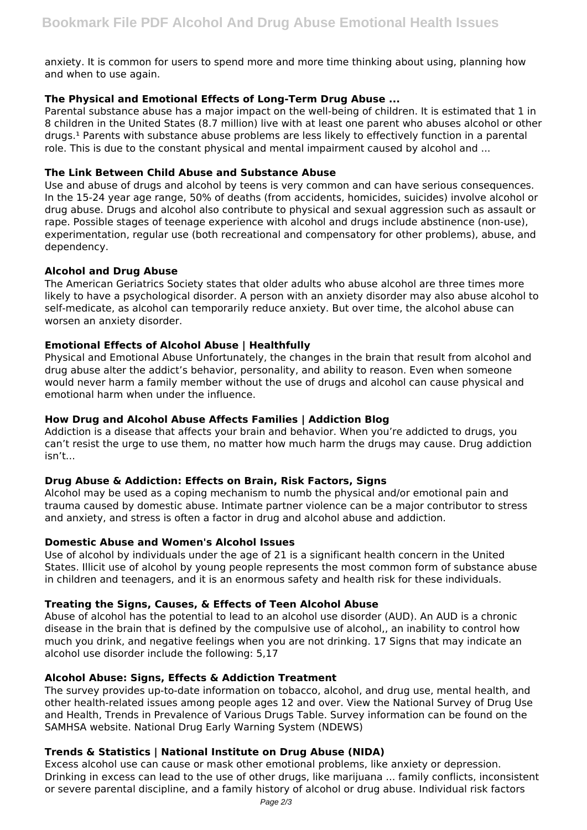anxiety. It is common for users to spend more and more time thinking about using, planning how and when to use again.

# **The Physical and Emotional Effects of Long-Term Drug Abuse ...**

Parental substance abuse has a major impact on the well-being of children. It is estimated that 1 in 8 children in the United States (8.7 million) live with at least one parent who abuses alcohol or other drugs.<sup>1</sup> Parents with substance abuse problems are less likely to effectively function in a parental role. This is due to the constant physical and mental impairment caused by alcohol and ...

## **The Link Between Child Abuse and Substance Abuse**

Use and abuse of drugs and alcohol by teens is very common and can have serious consequences. In the 15-24 year age range, 50% of deaths (from accidents, homicides, suicides) involve alcohol or drug abuse. Drugs and alcohol also contribute to physical and sexual aggression such as assault or rape. Possible stages of teenage experience with alcohol and drugs include abstinence (non-use), experimentation, regular use (both recreational and compensatory for other problems), abuse, and dependency.

## **Alcohol and Drug Abuse**

The American Geriatrics Society states that older adults who abuse alcohol are three times more likely to have a psychological disorder. A person with an anxiety disorder may also abuse alcohol to self-medicate, as alcohol can temporarily reduce anxiety. But over time, the alcohol abuse can worsen an anxiety disorder.

## **Emotional Effects of Alcohol Abuse | Healthfully**

Physical and Emotional Abuse Unfortunately, the changes in the brain that result from alcohol and drug abuse alter the addict's behavior, personality, and ability to reason. Even when someone would never harm a family member without the use of drugs and alcohol can cause physical and emotional harm when under the influence.

## **How Drug and Alcohol Abuse Affects Families | Addiction Blog**

Addiction is a disease that affects your brain and behavior. When you're addicted to drugs, you can't resist the urge to use them, no matter how much harm the drugs may cause. Drug addiction isn't...

### **Drug Abuse & Addiction: Effects on Brain, Risk Factors, Signs**

Alcohol may be used as a coping mechanism to numb the physical and/or emotional pain and trauma caused by domestic abuse. Intimate partner violence can be a major contributor to stress and anxiety, and stress is often a factor in drug and alcohol abuse and addiction.

### **Domestic Abuse and Women's Alcohol Issues**

Use of alcohol by individuals under the age of 21 is a significant health concern in the United States. Illicit use of alcohol by young people represents the most common form of substance abuse in children and teenagers, and it is an enormous safety and health risk for these individuals.

### **Treating the Signs, Causes, & Effects of Teen Alcohol Abuse**

Abuse of alcohol has the potential to lead to an alcohol use disorder (AUD). An AUD is a chronic disease in the brain that is defined by the compulsive use of alcohol,, an inability to control how much you drink, and negative feelings when you are not drinking. 17 Signs that may indicate an alcohol use disorder include the following: 5,17

# **Alcohol Abuse: Signs, Effects & Addiction Treatment**

The survey provides up-to-date information on tobacco, alcohol, and drug use, mental health, and other health-related issues among people ages 12 and over. View the National Survey of Drug Use and Health, Trends in Prevalence of Various Drugs Table. Survey information can be found on the SAMHSA website. National Drug Early Warning System (NDEWS)

# **Trends & Statistics | National Institute on Drug Abuse (NIDA)**

Excess alcohol use can cause or mask other emotional problems, like anxiety or depression. Drinking in excess can lead to the use of other drugs, like marijuana ... family conflicts, inconsistent or severe parental discipline, and a family history of alcohol or drug abuse. Individual risk factors